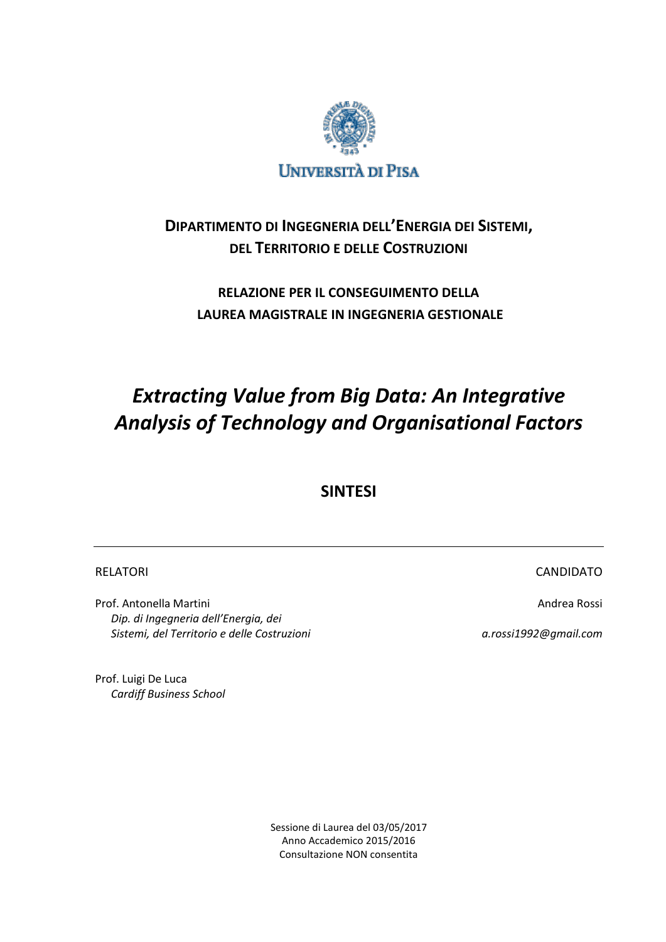

# **DIPARTIMENTO DI INGEGNERIA DELL'ENERGIA DEI SISTEMI, DEL TERRITORIO E DELLE COSTRUZIONI**

# **RELAZIONE PER IL CONSEGUIMENTO DELLA LAUREA MAGISTRALE IN INGEGNERIA GESTIONALE**

# *Extracting Value from Big Data: An Integrative Analysis of Technology and Organisational Factors*

**SINTESI**

Prof. Antonella Martini Andrea Rossi and Andrea Rossi and Andrea Rossi and Andrea Rossi *Dip. di Ingegneria dell'Energia, dei Sistemi, del Territorio e delle Costruzioni a.rossi1992@gmail.com*

RELATORI EN ELATORI E ELECTRONICA E ELECTRONICA E ELECTRONICA ELECTRONICA ELECTRONICA ELECTRONICA ELECTRONICA

Prof. Luigi De Luca *Cardiff Business School*

> Sessione di Laurea del 03/05/2017 Anno Accademico 2015/2016 Consultazione NON consentita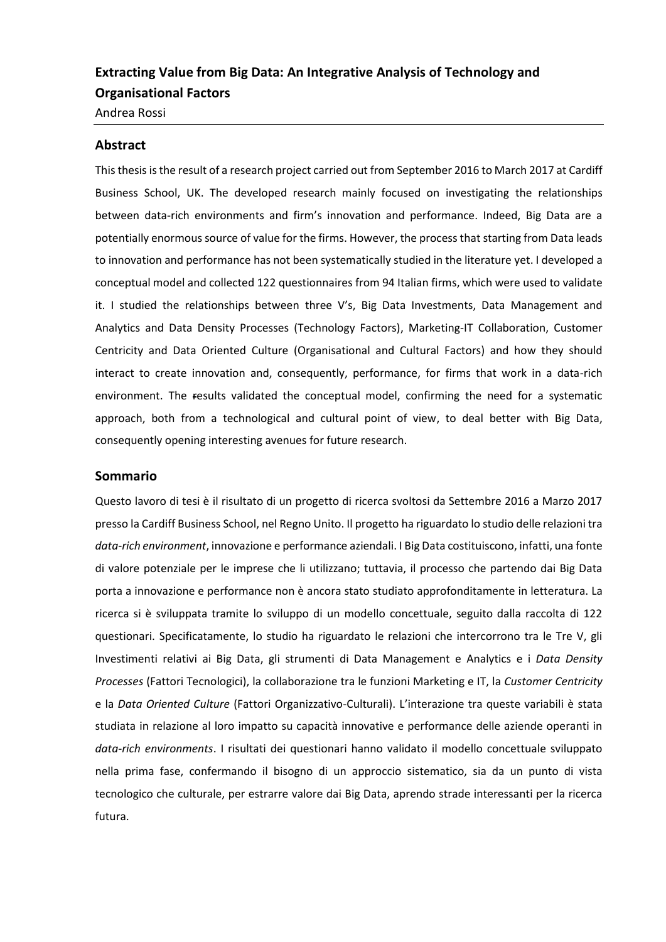# **Extracting Value from Big Data: An Integrative Analysis of Technology and Organisational Factors**

Andrea Rossi

### **Abstract**

This thesis is the result of a research project carried out from September 2016 to March 2017 at Cardiff Business School, UK. The developed research mainly focused on investigating the relationships between data-rich environments and firm's innovation and performance. Indeed, Big Data are a potentially enormous source of value for the firms. However, the process that starting from Data leads to innovation and performance has not been systematically studied in the literature yet. I developed a conceptual model and collected 122 questionnaires from 94 Italian firms, which were used to validate it. I studied the relationships between three V's, Big Data Investments, Data Management and Analytics and Data Density Processes (Technology Factors), Marketing-IT Collaboration, Customer Centricity and Data Oriented Culture (Organisational and Cultural Factors) and how they should interact to create innovation and, consequently, performance, for firms that work in a data-rich environment. The results validated the conceptual model, confirming the need for a systematic approach, both from a technological and cultural point of view, to deal better with Big Data, consequently opening interesting avenues for future research.

#### **Sommario**

Questo lavoro di tesi è il risultato di un progetto di ricerca svoltosi da Settembre 2016 a Marzo 2017 presso la Cardiff Business School, nel Regno Unito. Il progetto ha riguardato lo studio delle relazioni tra *data-rich environment*, innovazione e performance aziendali. I Big Data costituiscono, infatti, una fonte di valore potenziale per le imprese che li utilizzano; tuttavia, il processo che partendo dai Big Data porta a innovazione e performance non è ancora stato studiato approfonditamente in letteratura. La ricerca si è sviluppata tramite lo sviluppo di un modello concettuale, seguito dalla raccolta di 122 questionari. Specificatamente, lo studio ha riguardato le relazioni che intercorrono tra le Tre V, gli Investimenti relativi ai Big Data, gli strumenti di Data Management e Analytics e i *Data Density Processes* (Fattori Tecnologici), la collaborazione tra le funzioni Marketing e IT, la *Customer Centricity* e la *Data Oriented Culture* (Fattori Organizzativo-Culturali). L'interazione tra queste variabili è stata studiata in relazione al loro impatto su capacità innovative e performance delle aziende operanti in *data-rich environments*. I risultati dei questionari hanno validato il modello concettuale sviluppato nella prima fase, confermando il bisogno di un approccio sistematico, sia da un punto di vista tecnologico che culturale, per estrarre valore dai Big Data, aprendo strade interessanti per la ricerca futura.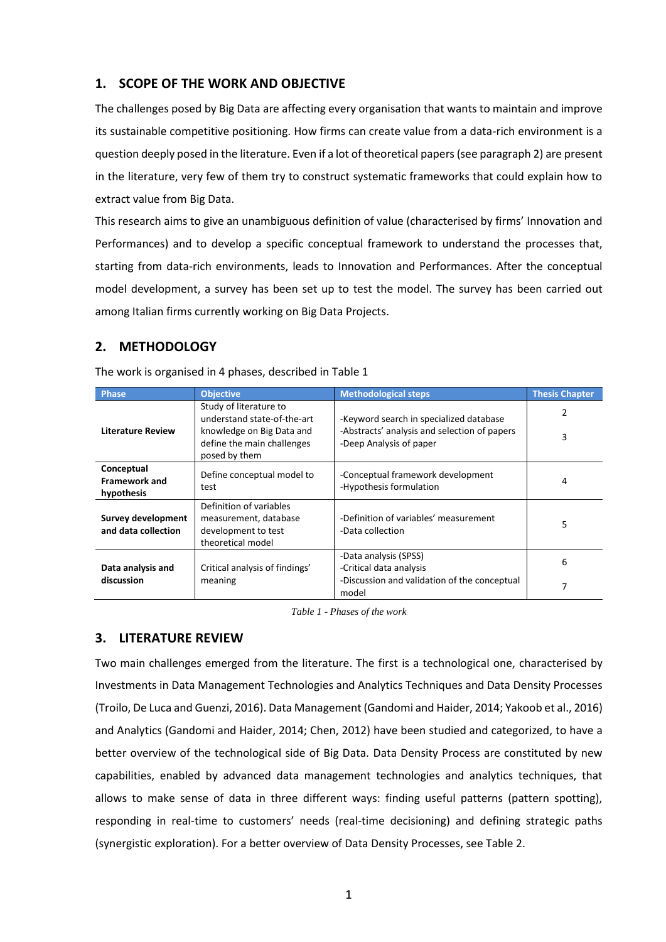# **1. SCOPE OF THE WORK AND OBJECTIVE**

The challenges posed by Big Data are affecting every organisation that wants to maintain and improve its sustainable competitive positioning. How firms can create value from a data-rich environment is a question deeply posed in the literature. Even if a lot of theoretical papers (see paragraph 2) are present in the literature, very few of them try to construct systematic frameworks that could explain how to extract value from Big Data.

This research aims to give an unambiguous definition of value (characterised by firms' Innovation and Performances) and to develop a specific conceptual framework to understand the processes that, starting from data-rich environments, leads to Innovation and Performances. After the conceptual model development, a survey has been set up to test the model. The survey has been carried out among Italian firms currently working on Big Data Projects.

# **2. METHODOLOGY**

| <b>Phase</b>                                     | <b>Objective</b>                                                                             | <b>Methodological steps</b>                                  | <b>Thesis Chapter</b> |
|--------------------------------------------------|----------------------------------------------------------------------------------------------|--------------------------------------------------------------|-----------------------|
|                                                  | Study of literature to<br>understand state-of-the-art                                        | -Keyword search in specialized database                      |                       |
| <b>Literature Review</b>                         | knowledge on Big Data and<br>define the main challenges<br>posed by them                     | 3                                                            |                       |
| Conceptual<br><b>Framework and</b><br>hypothesis | Define conceptual model to<br>test                                                           | -Conceptual framework development<br>-Hypothesis formulation | 4                     |
| Survey development<br>and data collection        | Definition of variables<br>measurement, database<br>development to test<br>theoretical model | -Definition of variables' measurement<br>-Data collection    | 5                     |
| Data analysis and                                | Critical analysis of findings'                                                               | -Data analysis (SPSS)<br>-Critical data analysis             | 6                     |
| discussion<br>meaning                            |                                                                                              | -Discussion and validation of the conceptual<br>model        | 7                     |

The work is organised in 4 phases, described i[n Table 1](#page-2-0)

*Table 1 - Phases of the work*

### <span id="page-2-0"></span>**3. LITERATURE REVIEW**

Two main challenges emerged from the literature. The first is a technological one, characterised by Investments in Data Management Technologies and Analytics Techniques and Data Density Processes (Troilo, De Luca and Guenzi, 2016). Data Management (Gandomi and Haider, 2014; Yakoob et al., 2016) and Analytics (Gandomi and Haider, 2014; Chen, 2012) have been studied and categorized, to have a better overview of the technological side of Big Data. Data Density Process are constituted by new capabilities, enabled by advanced data management technologies and analytics techniques, that allows to make sense of data in three different ways: finding useful patterns (pattern spotting), responding in real-time to customers' needs (real-time decisioning) and defining strategic paths (synergistic exploration). For a better overview of Data Density Processes, see Table 2.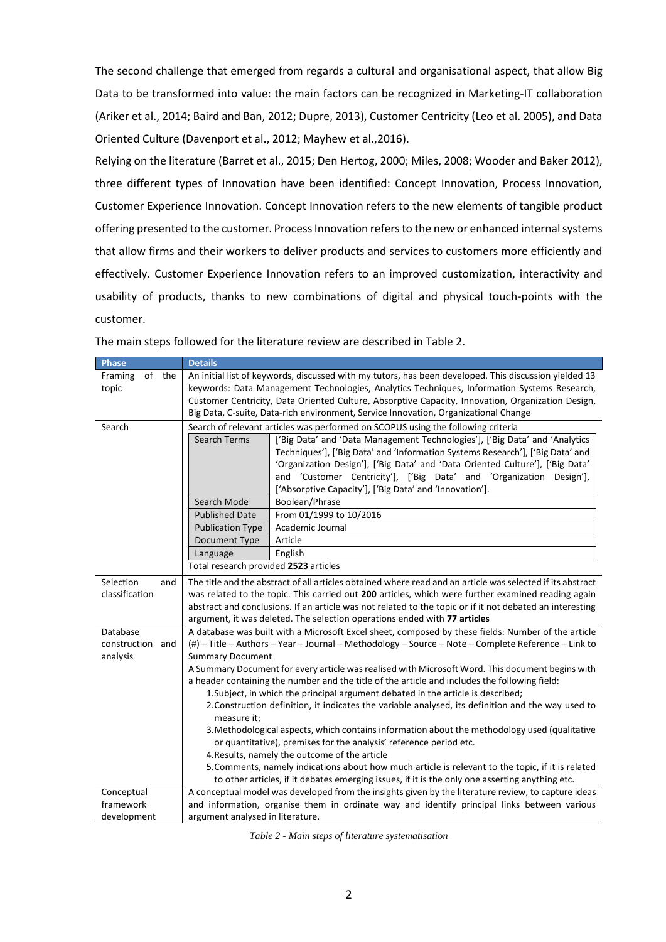The second challenge that emerged from regards a cultural and organisational aspect, that allow Big Data to be transformed into value: the main factors can be recognized in Marketing-IT collaboration (Ariker et al., 2014; Baird and Ban, 2012; Dupre, 2013), Customer Centricity (Leo et al. 2005), and Data Oriented Culture (Davenport et al., 2012; Mayhew et al.,2016).

Relying on the literature (Barret et al., 2015; Den Hertog, 2000; Miles, 2008; Wooder and Baker 2012), three different types of Innovation have been identified: Concept Innovation, Process Innovation, Customer Experience Innovation. Concept Innovation refers to the new elements of tangible product offering presented to the customer. Process Innovation refers to the new or enhanced internal systems that allow firms and their workers to deliver products and services to customers more efficiently and effectively. Customer Experience Innovation refers to an improved customization, interactivity and usability of products, thanks to new combinations of digital and physical touch-points with the customer.

| <b>Phase</b>      | <b>Details</b>                                                                                     |                                                                                                            |  |  |  |
|-------------------|----------------------------------------------------------------------------------------------------|------------------------------------------------------------------------------------------------------------|--|--|--|
| of the<br>Framing |                                                                                                    | An initial list of keywords, discussed with my tutors, has been developed. This discussion yielded 13      |  |  |  |
| topic             | keywords: Data Management Technologies, Analytics Techniques, Information Systems Research,        |                                                                                                            |  |  |  |
|                   | Customer Centricity, Data Oriented Culture, Absorptive Capacity, Innovation, Organization Design,  |                                                                                                            |  |  |  |
|                   | Big Data, C-suite, Data-rich environment, Service Innovation, Organizational Change                |                                                                                                            |  |  |  |
| Search            | Search of relevant articles was performed on SCOPUS using the following criteria                   |                                                                                                            |  |  |  |
|                   | Search Terms                                                                                       | ['Big Data' and 'Data Management Technologies'], ['Big Data' and 'Analytics                                |  |  |  |
|                   |                                                                                                    | Techniques'], ['Big Data' and 'Information Systems Research'], ['Big Data' and                             |  |  |  |
|                   |                                                                                                    | 'Organization Design'], ['Big Data' and 'Data Oriented Culture'], ['Big Data'                              |  |  |  |
|                   |                                                                                                    | and 'Customer Centricity'], ['Big Data' and 'Organization Design'],                                        |  |  |  |
|                   |                                                                                                    | ['Absorptive Capacity'], ['Big Data' and 'Innovation'].                                                    |  |  |  |
|                   | Search Mode                                                                                        | Boolean/Phrase                                                                                             |  |  |  |
|                   | <b>Published Date</b>                                                                              | From 01/1999 to 10/2016                                                                                    |  |  |  |
|                   | <b>Publication Type</b>                                                                            | Academic Journal                                                                                           |  |  |  |
|                   | Document Type                                                                                      | Article                                                                                                    |  |  |  |
|                   | Language                                                                                           | English                                                                                                    |  |  |  |
|                   | Total research provided 2523 articles                                                              |                                                                                                            |  |  |  |
| Selection<br>and  |                                                                                                    | The title and the abstract of all articles obtained where read and an article was selected if its abstract |  |  |  |
| classification    | was related to the topic. This carried out 200 articles, which were further examined reading again |                                                                                                            |  |  |  |
|                   |                                                                                                    | abstract and conclusions. If an article was not related to the topic or if it not debated an interesting   |  |  |  |
|                   |                                                                                                    | argument, it was deleted. The selection operations ended with 77 articles                                  |  |  |  |
| Database          |                                                                                                    | A database was built with a Microsoft Excel sheet, composed by these fields: Number of the article         |  |  |  |
| construction and  |                                                                                                    | (#) - Title - Authors - Year - Journal - Methodology - Source - Note - Complete Reference - Link to        |  |  |  |
| analysis          | <b>Summary Document</b>                                                                            |                                                                                                            |  |  |  |
|                   | A Summary Document for every article was realised with Microsoft Word. This document begins with   |                                                                                                            |  |  |  |
|                   | a header containing the number and the title of the article and includes the following field:      |                                                                                                            |  |  |  |
|                   | 1. Subject, in which the principal argument debated in the article is described;                   |                                                                                                            |  |  |  |
|                   | 2. Construction definition, it indicates the variable analysed, its definition and the way used to |                                                                                                            |  |  |  |
|                   |                                                                                                    | measure it;                                                                                                |  |  |  |
|                   |                                                                                                    | 3. Methodological aspects, which contains information about the methodology used (qualitative              |  |  |  |
|                   | or quantitative), premises for the analysis' reference period etc.                                 |                                                                                                            |  |  |  |
|                   |                                                                                                    | 4. Results, namely the outcome of the article                                                              |  |  |  |
|                   |                                                                                                    | 5. Comments, namely indications about how much article is relevant to the topic, if it is related          |  |  |  |
|                   |                                                                                                    | to other articles, if it debates emerging issues, if it is the only one asserting anything etc.            |  |  |  |
| Conceptual        |                                                                                                    | A conceptual model was developed from the insights given by the literature review, to capture ideas        |  |  |  |
| framework         |                                                                                                    | and information, organise them in ordinate way and identify principal links between various                |  |  |  |
| development       | argument analysed in literature.                                                                   |                                                                                                            |  |  |  |

The main steps followed for the literature review are described i[n Table 2.](#page-3-0)

<span id="page-3-0"></span>*Table 2 - Main steps of literature systematisation*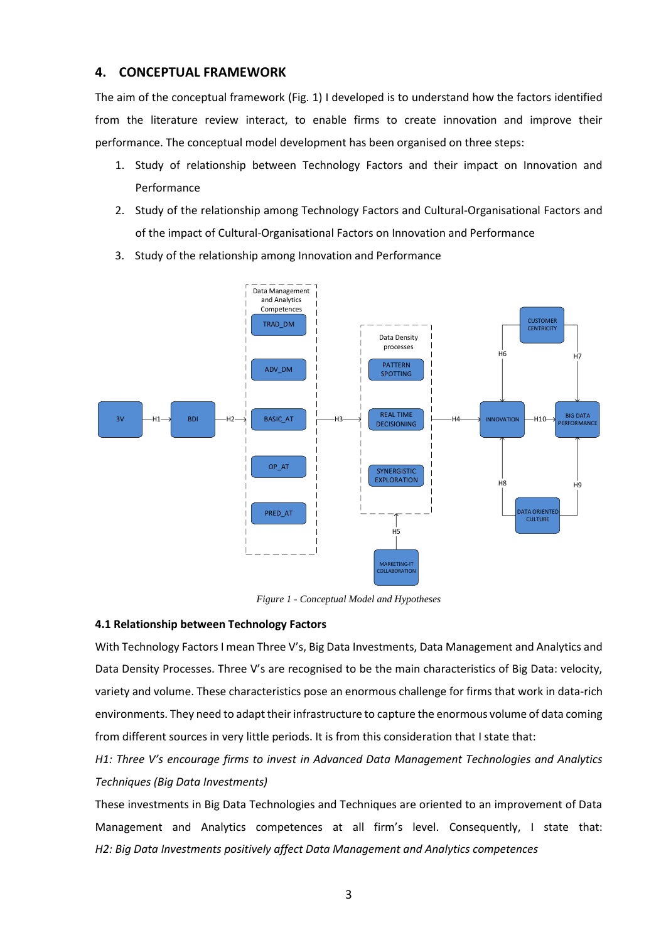### **4. CONCEPTUAL FRAMEWORK**

The aim of the conceptual framework (Fig. 1) I developed is to understand how the factors identified from the literature review interact, to enable firms to create innovation and improve their performance. The conceptual model development has been organised on three steps:

- 1. Study of relationship between Technology Factors and their impact on Innovation and Performance
- 2. Study of the relationship among Technology Factors and Cultural-Organisational Factors and of the impact of Cultural-Organisational Factors on Innovation and Performance
- 3. Study of the relationship among Innovation and Performance



*Figure 1 - Conceptual Model and Hypotheses*

### **4.1 Relationship between Technology Factors**

With Technology Factors I mean Three V's, Big Data Investments, Data Management and Analytics and Data Density Processes. Three V's are recognised to be the main characteristics of Big Data: velocity, variety and volume. These characteristics pose an enormous challenge for firms that work in data-rich environments. They need to adapt their infrastructure to capture the enormous volume of data coming from different sources in very little periods. It is from this consideration that I state that:

*H1: Three V's encourage firms to invest in Advanced Data Management Technologies and Analytics Techniques (Big Data Investments)*

These investments in Big Data Technologies and Techniques are oriented to an improvement of Data Management and Analytics competences at all firm's level. Consequently, I state that: *H2: Big Data Investments positively affect Data Management and Analytics competences*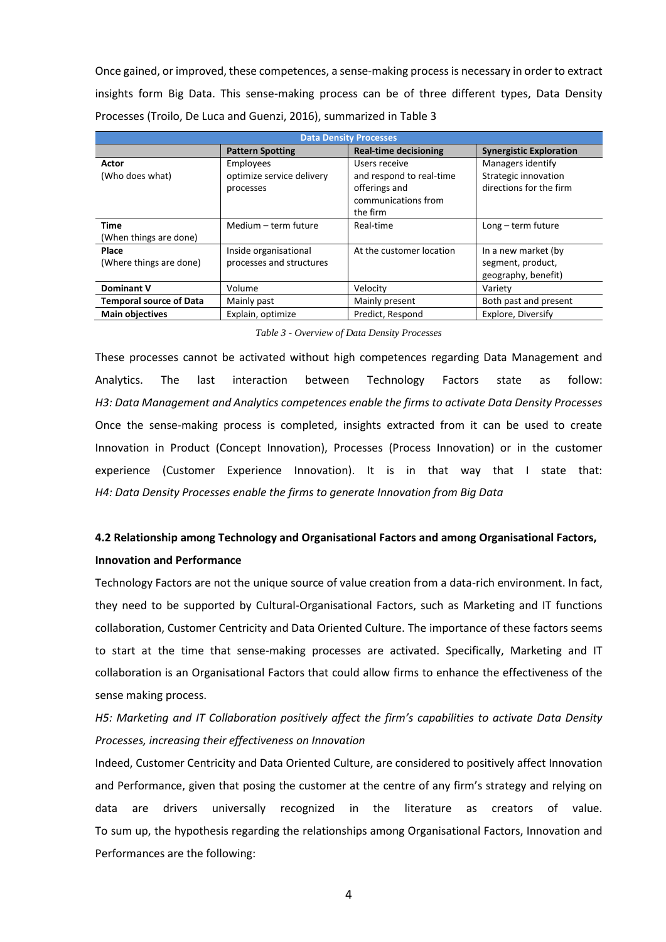Once gained, or improved, these competences, a sense-making process is necessary in order to extract insights form Big Data. This sense-making process can be of three different types, Data Density Processes (Troilo, De Luca and Guenzi, 2016), summarized in [Table 3](#page-5-0)

| <b>Data Density Processes</b>         |                                                     |                                                                                               |                                                                      |  |  |  |
|---------------------------------------|-----------------------------------------------------|-----------------------------------------------------------------------------------------------|----------------------------------------------------------------------|--|--|--|
|                                       | <b>Pattern Spotting</b>                             | <b>Real-time decisioning</b>                                                                  | <b>Synergistic Exploration</b>                                       |  |  |  |
| Actor<br>(Who does what)              | Employees<br>optimize service delivery<br>processes | Users receive<br>and respond to real-time<br>offerings and<br>communications from<br>the firm | Managers identify<br>Strategic innovation<br>directions for the firm |  |  |  |
| <b>Time</b><br>(When things are done) | Medium - term future                                | Real-time                                                                                     | $Long - term future$                                                 |  |  |  |
| Place<br>(Where things are done)      | Inside organisational<br>processes and structures   | At the customer location                                                                      | In a new market (by<br>segment, product,<br>geography, benefit)      |  |  |  |
| <b>Dominant V</b>                     | Volume                                              | Velocity                                                                                      | Variety                                                              |  |  |  |
| <b>Temporal source of Data</b>        | Mainly past                                         | Mainly present                                                                                | Both past and present                                                |  |  |  |
| <b>Main objectives</b>                | Explain, optimize                                   | Predict, Respond                                                                              | Explore, Diversify                                                   |  |  |  |

*Table 3 - Overview of Data Density Processes*

<span id="page-5-0"></span>These processes cannot be activated without high competences regarding Data Management and Analytics. The last interaction between Technology Factors state as follow: *H3: Data Management and Analytics competences enable the firms to activate Data Density Processes* Once the sense-making process is completed, insights extracted from it can be used to create Innovation in Product (Concept Innovation), Processes (Process Innovation) or in the customer experience (Customer Experience Innovation). It is in that way that I state that: *H4: Data Density Processes enable the firms to generate Innovation from Big Data*

# **4.2 Relationship among Technology and Organisational Factors and among Organisational Factors, Innovation and Performance**

Technology Factors are not the unique source of value creation from a data-rich environment. In fact, they need to be supported by Cultural-Organisational Factors, such as Marketing and IT functions collaboration, Customer Centricity and Data Oriented Culture. The importance of these factors seems to start at the time that sense-making processes are activated. Specifically, Marketing and IT collaboration is an Organisational Factors that could allow firms to enhance the effectiveness of the sense making process.

*H5: Marketing and IT Collaboration positively affect the firm's capabilities to activate Data Density Processes, increasing their effectiveness on Innovation*

Indeed, Customer Centricity and Data Oriented Culture, are considered to positively affect Innovation and Performance, given that posing the customer at the centre of any firm's strategy and relying on data are drivers universally recognized in the literature as creators of value. To sum up, the hypothesis regarding the relationships among Organisational Factors, Innovation and Performances are the following: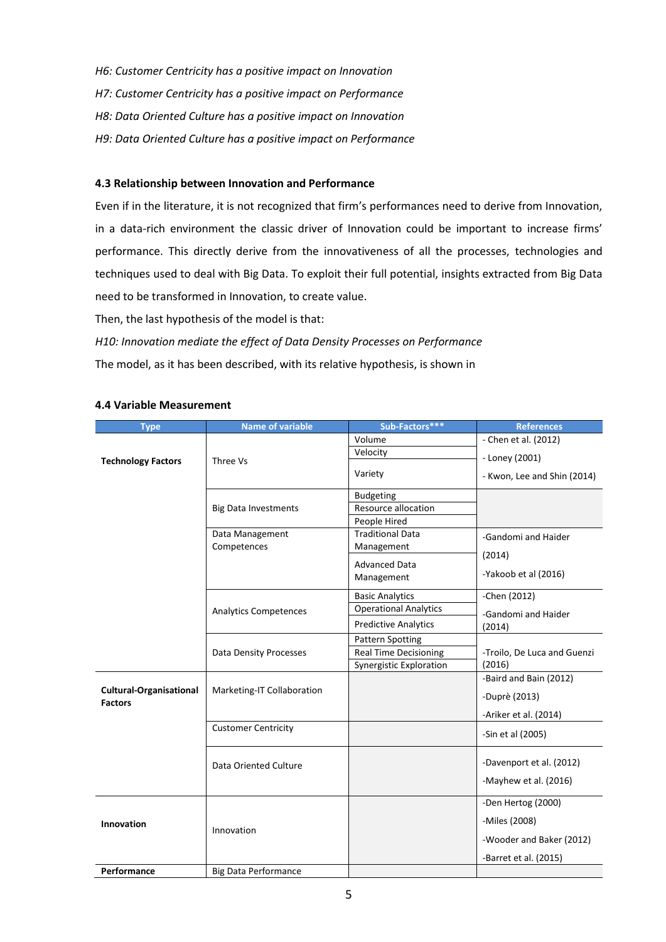*H6: Customer Centricity has a positive impact on Innovation H7: Customer Centricity has a positive impact on Performance H8: Data Oriented Culture has a positive impact on Innovation H9: Data Oriented Culture has a positive impact on Performance*

### **4.3 Relationship between Innovation and Performance**

Even if in the literature, it is not recognized that firm's performances need to derive from Innovation, in a data-rich environment the classic driver of Innovation could be important to increase firms' performance. This directly derive from the innovativeness of all the processes, technologies and techniques used to deal with Big Data. To exploit their full potential, insights extracted from Big Data need to be transformed in Innovation, to create value.

Then, the last hypothesis of the model is that:

### *H10: Innovation mediate the effect of Data Density Processes on Performance*

The model, as it has been described, with its relative hypothesis, is shown in

|  | <b>4.4 Variable Measurement</b> |
|--|---------------------------------|
|  |                                 |

| <b>Type</b>                                      | <b>Name of variable</b>       | Sub-Factors***                 | <b>References</b>           |
|--------------------------------------------------|-------------------------------|--------------------------------|-----------------------------|
|                                                  |                               | Volume                         | - Chen et al. (2012)        |
| <b>Technology Factors</b>                        | Three Vs                      | Velocity                       | - Loney (2001)              |
|                                                  |                               | Variety                        | - Kwon, Lee and Shin (2014) |
|                                                  |                               | <b>Budgeting</b>               |                             |
|                                                  | <b>Big Data Investments</b>   | Resource allocation            |                             |
|                                                  |                               | People Hired                   |                             |
|                                                  | Data Management               | <b>Traditional Data</b>        | -Gandomi and Haider         |
|                                                  | Competences                   | Management                     | (2014)                      |
|                                                  |                               | <b>Advanced Data</b>           |                             |
|                                                  |                               | Management                     | -Yakoob et al (2016)        |
|                                                  |                               | <b>Basic Analytics</b>         | -Chen (2012)                |
|                                                  | <b>Analytics Competences</b>  | <b>Operational Analytics</b>   | -Gandomi and Haider         |
|                                                  |                               | <b>Predictive Analytics</b>    | (2014)                      |
|                                                  |                               | <b>Pattern Spotting</b>        |                             |
|                                                  | <b>Data Density Processes</b> | <b>Real Time Decisioning</b>   | -Troilo, De Luca and Guenzi |
|                                                  |                               | <b>Synergistic Exploration</b> | (2016)                      |
|                                                  |                               |                                | -Baird and Bain (2012)      |
| <b>Cultural-Organisational</b><br><b>Factors</b> | Marketing-IT Collaboration    |                                | -Duprè (2013)               |
|                                                  |                               |                                | -Ariker et al. (2014)       |
|                                                  | <b>Customer Centricity</b>    |                                | -Sin et al (2005)           |
|                                                  |                               |                                |                             |
|                                                  | Data Oriented Culture         |                                | -Davenport et al. (2012)    |
|                                                  |                               |                                |                             |
|                                                  |                               |                                | -Mayhew et al. (2016)       |
|                                                  |                               |                                | -Den Hertog (2000)          |
| Innovation                                       |                               |                                | -Miles (2008)               |
|                                                  | Innovation                    |                                | -Wooder and Baker (2012)    |
|                                                  |                               |                                |                             |
| Performance                                      | <b>Big Data Performance</b>   |                                | -Barret et al. (2015)       |
|                                                  |                               |                                |                             |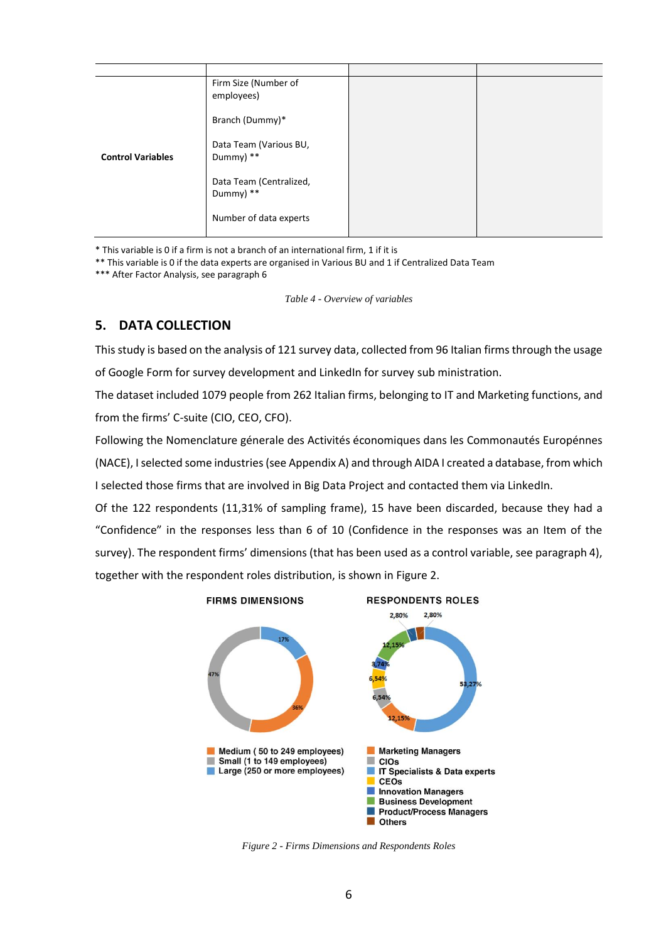|                          | Firm Size (Number of<br>employees)   |  |
|--------------------------|--------------------------------------|--|
| <b>Control Variables</b> | Branch (Dummy)*                      |  |
|                          | Data Team (Various BU,<br>Dummy) **  |  |
|                          | Data Team (Centralized,<br>Dummy) ** |  |
|                          | Number of data experts               |  |

\* This variable is 0 if a firm is not a branch of an international firm, 1 if it is

\*\* This variable is 0 if the data experts are organised in Various BU and 1 if Centralized Data Team

\*\*\* After Factor Analysis, see paragraph 6

*Table 4 - Overview of variables*

# **5. DATA COLLECTION**

This study is based on the analysis of 121 survey data, collected from 96 Italian firms through the usage of Google Form for survey development and LinkedIn for survey sub ministration.

The dataset included 1079 people from 262 Italian firms, belonging to IT and Marketing functions, and from the firms' C-suite (CIO, CEO, CFO).

Following the Nomenclature génerale des Activités économiques dans les Commonautés Europénnes (NACE), I selected some industries (see Appendix A) and through AIDA I created a database, from which I selected those firms that are involved in Big Data Project and contacted them via LinkedIn.

Of the 122 respondents (11,31% of sampling frame), 15 have been discarded, because they had a "Confidence" in the responses less than 6 of 10 (Confidence in the responses was an Item of the survey). The respondent firms' dimensions (that has been used as a control variable, see paragraph 4), together with the respondent roles distribution, is shown in [Figure 2.](#page-7-0)



<span id="page-7-0"></span>*Figure 2 - Firms Dimensions and Respondents Roles*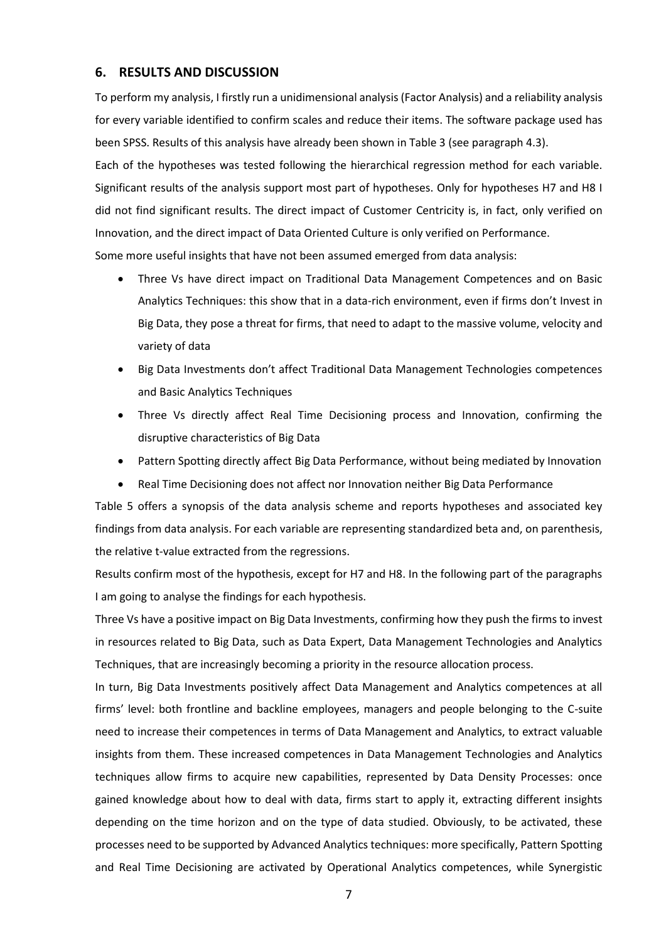### **6. RESULTS AND DISCUSSION**

To perform my analysis, I firstly run a unidimensional analysis (Factor Analysis) and a reliability analysis for every variable identified to confirm scales and reduce their items. The software package used has been SPSS. Results of this analysis have already been shown in Table 3 (see paragraph 4.3).

Each of the hypotheses was tested following the hierarchical regression method for each variable. Significant results of the analysis support most part of hypotheses. Only for hypotheses H7 and H8 I did not find significant results. The direct impact of Customer Centricity is, in fact, only verified on Innovation, and the direct impact of Data Oriented Culture is only verified on Performance.

Some more useful insights that have not been assumed emerged from data analysis:

- Three Vs have direct impact on Traditional Data Management Competences and on Basic Analytics Techniques: this show that in a data-rich environment, even if firms don't Invest in Big Data, they pose a threat for firms, that need to adapt to the massive volume, velocity and variety of data
- Big Data Investments don't affect Traditional Data Management Technologies competences and Basic Analytics Techniques
- Three Vs directly affect Real Time Decisioning process and Innovation, confirming the disruptive characteristics of Big Data
- Pattern Spotting directly affect Big Data Performance, without being mediated by Innovation
- Real Time Decisioning does not affect nor Innovation neither Big Data Performance

[Table 5](#page-9-0) offers a synopsis of the data analysis scheme and reports hypotheses and associated key findings from data analysis. For each variable are representing standardized beta and, on parenthesis, the relative t-value extracted from the regressions.

Results confirm most of the hypothesis, except for H7 and H8. In the following part of the paragraphs I am going to analyse the findings for each hypothesis.

Three Vs have a positive impact on Big Data Investments, confirming how they push the firms to invest in resources related to Big Data, such as Data Expert, Data Management Technologies and Analytics Techniques, that are increasingly becoming a priority in the resource allocation process.

In turn, Big Data Investments positively affect Data Management and Analytics competences at all firms' level: both frontline and backline employees, managers and people belonging to the C-suite need to increase their competences in terms of Data Management and Analytics, to extract valuable insights from them. These increased competences in Data Management Technologies and Analytics techniques allow firms to acquire new capabilities, represented by Data Density Processes: once gained knowledge about how to deal with data, firms start to apply it, extracting different insights depending on the time horizon and on the type of data studied. Obviously, to be activated, these processes need to be supported by Advanced Analytics techniques: more specifically, Pattern Spotting and Real Time Decisioning are activated by Operational Analytics competences, while Synergistic

7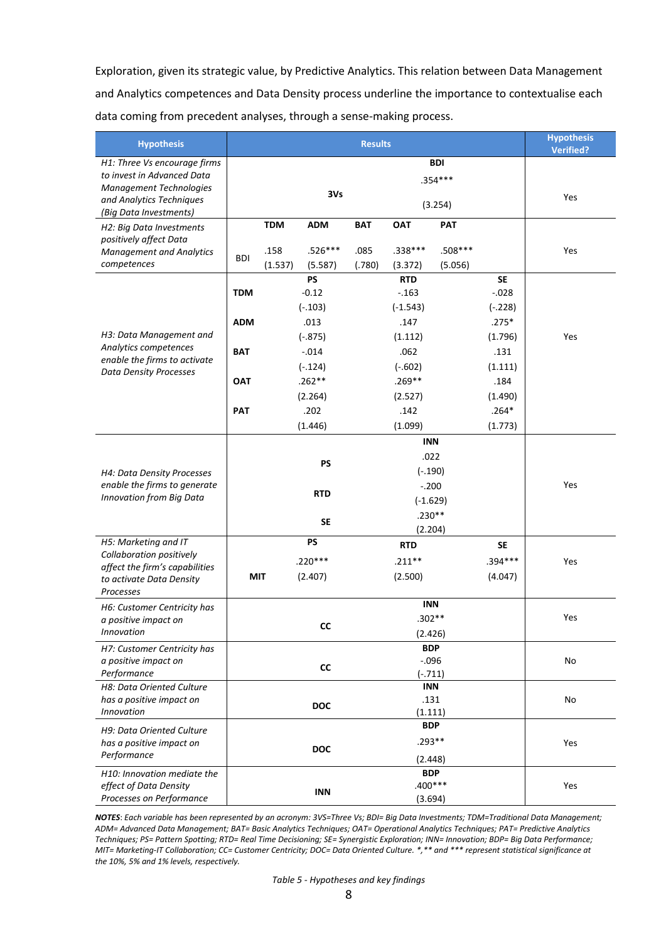Exploration, given its strategic value, by Predictive Analytics. This relation between Data Management and Analytics competences and Data Density process underline the importance to contextualise each data coming from precedent analyses, through a sense-making process.

| <b>Hypothesis</b>                                          | <b>Results</b> |                        |                      |            |                       |                 | <b>Hypothesis</b><br><b>Verified?</b> |     |
|------------------------------------------------------------|----------------|------------------------|----------------------|------------|-----------------------|-----------------|---------------------------------------|-----|
| H1: Three Vs encourage firms                               | <b>BDI</b>     |                        |                      |            |                       |                 |                                       |     |
| to invest in Advanced Data                                 | $.354***$      |                        |                      |            |                       |                 |                                       |     |
| <b>Management Technologies</b>                             |                | 3V <sub>S</sub>        |                      |            |                       |                 |                                       | Yes |
| and Analytics Techniques<br>(Big Data Investments)         |                | (3.254)                |                      |            |                       |                 |                                       |     |
| H2: Big Data Investments                                   |                | <b>TDM</b>             | <b>ADM</b>           | <b>BAT</b> | <b>OAT</b>            | <b>PAT</b>      |                                       |     |
| positively affect Data                                     |                |                        |                      |            |                       |                 |                                       |     |
| <b>Management and Analytics</b>                            | <b>BDI</b>     | .158                   | .526***              | .085       | .338***               | .508***         |                                       | Yes |
| competences                                                |                | (1.537)                | (5.587)<br><b>PS</b> | (.780)     | (3.372)<br><b>RTD</b> | (5.056)         | <b>SE</b>                             |     |
|                                                            | <b>TDM</b>     |                        | $-0.12$              |            | $-.163$               |                 | $-.028$                               |     |
|                                                            |                |                        | $(-.103)$            |            | $(-1.543)$            |                 | $(-.228)$                             |     |
|                                                            | <b>ADM</b>     |                        | .013                 |            | .147                  |                 | $.275*$                               |     |
| H3: Data Management and                                    |                |                        | $(-.875)$            |            | (1.112)               |                 | (1.796)                               | Yes |
| Analytics competences                                      | <b>BAT</b>     |                        | $-.014$              |            | .062                  |                 | .131                                  |     |
| enable the firms to activate                               |                |                        | $(-.124)$            |            | $(-.602)$             |                 | (1.111)                               |     |
| <b>Data Density Processes</b>                              | <b>OAT</b>     |                        | $.262**$             |            | $.269**$              |                 | .184                                  |     |
|                                                            |                |                        | (2.264)              |            | (2.527)               |                 | (1.490)                               |     |
|                                                            | <b>PAT</b>     |                        | .202                 |            | .142                  |                 | $.264*$                               |     |
|                                                            |                |                        | (1.446)              |            | (1.099)               |                 | (1.773)                               |     |
|                                                            |                |                        |                      |            | <b>INN</b>            |                 |                                       |     |
|                                                            |                |                        |                      |            | .022                  |                 |                                       |     |
|                                                            |                | <b>PS</b><br>$(-.190)$ |                      |            |                       |                 |                                       |     |
| H4: Data Density Processes<br>enable the firms to generate |                |                        |                      |            | $-.200$               |                 |                                       | Yes |
| Innovation from Big Data                                   |                |                        | <b>RTD</b>           |            | $(-1.629)$            |                 |                                       |     |
|                                                            |                |                        |                      |            | $.230**$              |                 |                                       |     |
|                                                            |                |                        | <b>SE</b>            |            | (2.204)               |                 |                                       |     |
| H5: Marketing and IT                                       |                |                        | <b>PS</b>            |            | <b>RTD</b>            |                 | SE                                    |     |
| Collaboration positively                                   |                |                        | $.220***$            |            | $.211***$             |                 | $.394***$                             | Yes |
| affect the firm's capabilities                             |                | <b>MIT</b>             | (2.407)              |            | (2.500)               |                 | (4.047)                               |     |
| to activate Data Density<br>Processes                      |                |                        |                      |            |                       |                 |                                       |     |
| H6: Customer Centricity has                                |                |                        |                      |            | <b>INN</b>            |                 |                                       |     |
| a positive impact on                                       |                |                        |                      |            | $.302**$              |                 |                                       | Yes |
| Innovation                                                 |                | <b>CC</b>              |                      |            | (2.426)               |                 |                                       |     |
| H7: Customer Centricity has                                |                |                        |                      |            | <b>BDP</b>            |                 |                                       |     |
| a positive impact on                                       |                | CC                     |                      |            | $-0.096$              |                 |                                       | No  |
| Performance                                                |                |                        |                      |            | $(-.711)$             |                 |                                       |     |
| H8: Data Oriented Culture                                  |                |                        |                      |            | <b>INN</b>            |                 |                                       |     |
| has a positive impact on<br><b>Innovation</b>              |                |                        | <b>DOC</b>           |            |                       | .131<br>(1.111) |                                       | No  |
| H9: Data Oriented Culture                                  |                |                        |                      |            | <b>BDP</b>            |                 |                                       |     |
| has a positive impact on                                   |                |                        |                      |            | $.293**$              |                 |                                       | Yes |
| Performance                                                |                |                        | <b>DOC</b>           |            | (2.448)               |                 |                                       |     |
| H10: Innovation mediate the                                |                |                        |                      |            | <b>BDP</b>            |                 |                                       |     |
| effect of Data Density                                     |                |                        |                      |            | $.400***$             |                 |                                       | Yes |
| Processes on Performance                                   |                |                        |                      | <b>INN</b> |                       | (3.694)         |                                       |     |

<span id="page-9-0"></span>*NOTES*: *Each variable has been represented by an acronym: 3VS=Three Vs; BDI= Big Data Investments; TDM=Traditional Data Management; ADM= Advanced Data Management; BAT= Basic Analytics Techniques; OAT= Operational Analytics Techniques; PAT= Predictive Analytics Techniques; PS= Pattern Spotting; RTD= Real Time Decisioning; SE= Synergistic Exploration; INN= Innovation; BDP= Big Data Performance; MIT= Marketing-IT Collaboration; CC= Customer Centricity; DOC= Data Oriented Culture. \*,\*\* and \*\*\* represent statistical significance at the 10%, 5% and 1% levels, respectively.*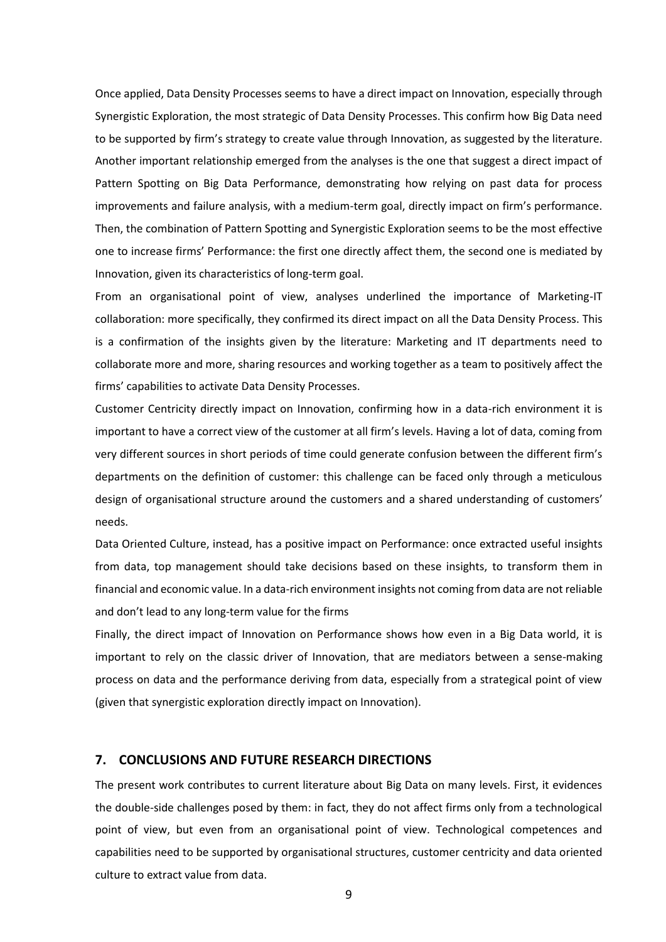Once applied, Data Density Processes seems to have a direct impact on Innovation, especially through Synergistic Exploration, the most strategic of Data Density Processes. This confirm how Big Data need to be supported by firm's strategy to create value through Innovation, as suggested by the literature. Another important relationship emerged from the analyses is the one that suggest a direct impact of Pattern Spotting on Big Data Performance, demonstrating how relying on past data for process improvements and failure analysis, with a medium-term goal, directly impact on firm's performance. Then, the combination of Pattern Spotting and Synergistic Exploration seems to be the most effective one to increase firms' Performance: the first one directly affect them, the second one is mediated by Innovation, given its characteristics of long-term goal.

From an organisational point of view, analyses underlined the importance of Marketing-IT collaboration: more specifically, they confirmed its direct impact on all the Data Density Process. This is a confirmation of the insights given by the literature: Marketing and IT departments need to collaborate more and more, sharing resources and working together as a team to positively affect the firms' capabilities to activate Data Density Processes.

Customer Centricity directly impact on Innovation, confirming how in a data-rich environment it is important to have a correct view of the customer at all firm's levels. Having a lot of data, coming from very different sources in short periods of time could generate confusion between the different firm's departments on the definition of customer: this challenge can be faced only through a meticulous design of organisational structure around the customers and a shared understanding of customers' needs.

Data Oriented Culture, instead, has a positive impact on Performance: once extracted useful insights from data, top management should take decisions based on these insights, to transform them in financial and economic value. In a data-rich environment insights not coming from data are not reliable and don't lead to any long-term value for the firms

Finally, the direct impact of Innovation on Performance shows how even in a Big Data world, it is important to rely on the classic driver of Innovation, that are mediators between a sense-making process on data and the performance deriving from data, especially from a strategical point of view (given that synergistic exploration directly impact on Innovation).

#### **7. CONCLUSIONS AND FUTURE RESEARCH DIRECTIONS**

The present work contributes to current literature about Big Data on many levels. First, it evidences the double-side challenges posed by them: in fact, they do not affect firms only from a technological point of view, but even from an organisational point of view. Technological competences and capabilities need to be supported by organisational structures, customer centricity and data oriented culture to extract value from data.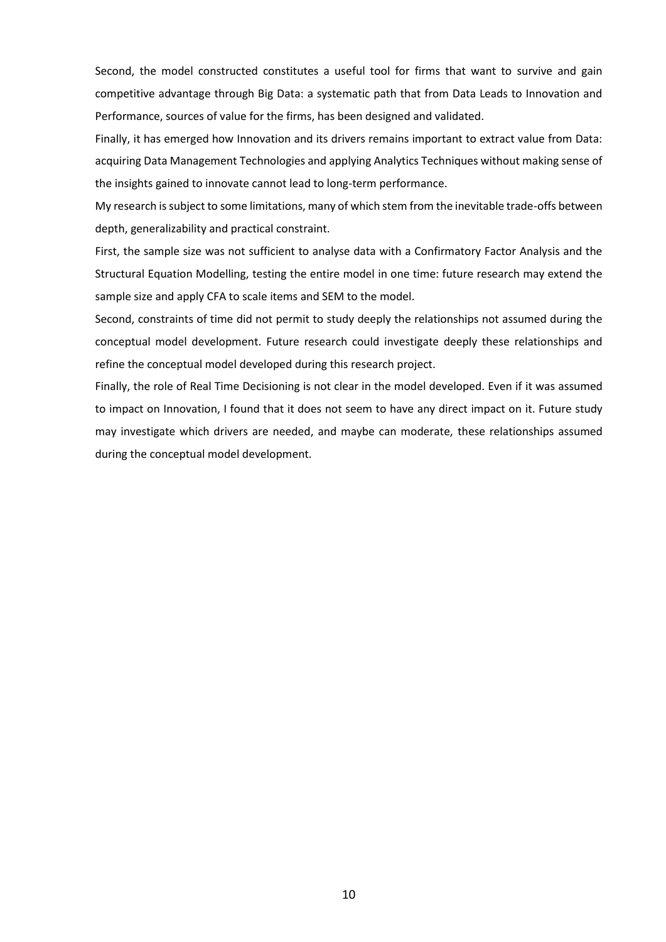Second, the model constructed constitutes a useful tool for firms that want to survive and gain competitive advantage through Big Data: a systematic path that from Data Leads to Innovation and Performance, sources of value for the firms, has been designed and validated.

Finally, it has emerged how Innovation and its drivers remains important to extract value from Data: acquiring Data Management Technologies and applying Analytics Techniques without making sense of the insights gained to innovate cannot lead to long-term performance.

My research is subject to some limitations, many of which stem from the inevitable trade-offs between depth, generalizability and practical constraint.

First, the sample size was not sufficient to analyse data with a Confirmatory Factor Analysis and the Structural Equation Modelling, testing the entire model in one time: future research may extend the sample size and apply CFA to scale items and SEM to the model.

Second, constraints of time did not permit to study deeply the relationships not assumed during the conceptual model development. Future research could investigate deeply these relationships and refine the conceptual model developed during this research project.

Finally, the role of Real Time Decisioning is not clear in the model developed. Even if it was assumed to impact on Innovation, I found that it does not seem to have any direct impact on it. Future study may investigate which drivers are needed, and maybe can moderate, these relationships assumed during the conceptual model development.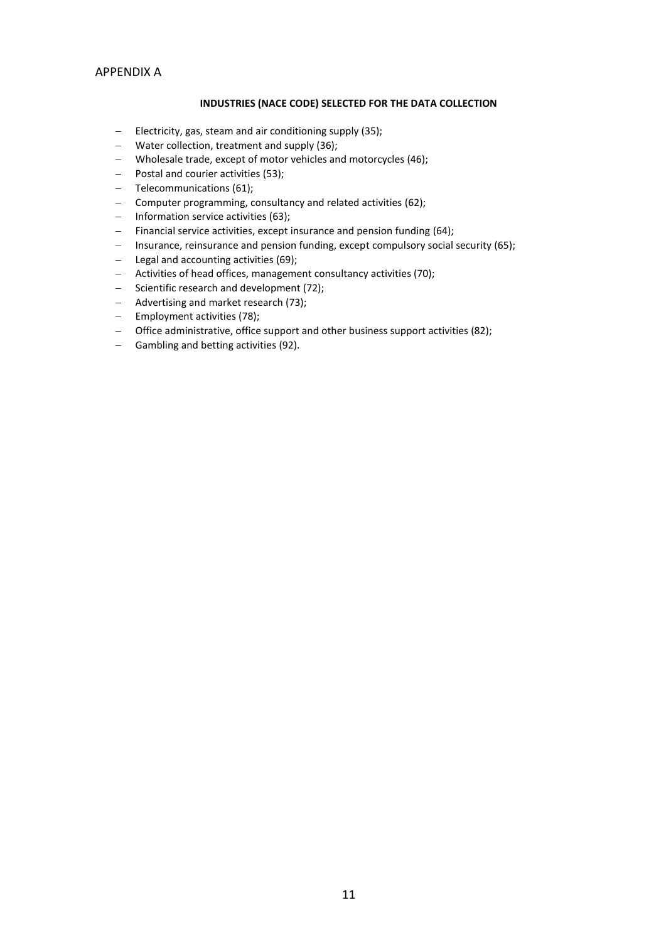### APPENDIX A

#### **INDUSTRIES (NACE CODE) SELECTED FOR THE DATA COLLECTION**

- $-$  Electricity, gas, steam and air conditioning supply (35);
- Water collection, treatment and supply (36);
- Wholesale trade, except of motor vehicles and motorcycles (46);
- Postal and courier activities (53);
- Telecommunications (61);
- Computer programming, consultancy and related activities (62);
- $-$  Information service activities (63);
- $-$  Financial service activities, except insurance and pension funding (64);
- Insurance, reinsurance and pension funding, except compulsory social security (65);
- $-$  Legal and accounting activities (69);
- Activities of head offices, management consultancy activities (70);
- Scientific research and development (72);
- Advertising and market research (73);
- $-$  Employment activities (78);
- Office administrative, office support and other business support activities (82);
- Gambling and betting activities (92).